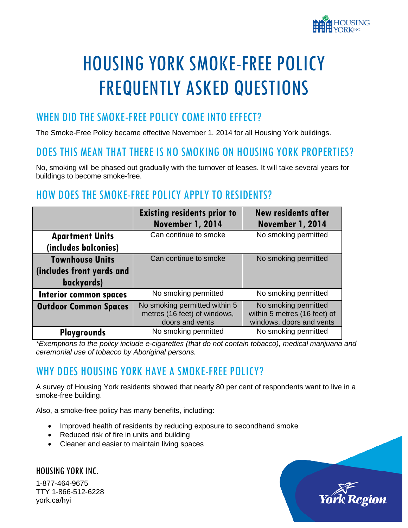

# HOUSING YORK SMOKE-FREE POLICY FREQUENTLY ASKED QUESTIONS

## WHEN DID THE SMOKE-FREE POLICY COME INTO EFFECT?

The Smoke-Free Policy became effective November 1, 2014 for all Housing York buildings.

#### DOES THIS MEAN THAT THERE IS NO SMOKING ON HOUSING YORK PROPERTIES?

No, smoking will be phased out gradually with the turnover of leases. It will take several years for buildings to become smoke-free.

# HOW DOES THE SMOKE-FREE POLICY APPLY TO RESIDENTS?

|                               | <b>Existing residents prior to</b><br>November 1, 2014                           | <b>New residents after</b><br>November 1, 2014                                   |
|-------------------------------|----------------------------------------------------------------------------------|----------------------------------------------------------------------------------|
| <b>Apartment Units</b>        | Can continue to smoke                                                            | No smoking permitted                                                             |
| (includes balconies)          |                                                                                  |                                                                                  |
| <b>Townhouse Units</b>        | Can continue to smoke                                                            | No smoking permitted                                                             |
| (includes front yards and     |                                                                                  |                                                                                  |
| backyards)                    |                                                                                  |                                                                                  |
| <b>Interior common spaces</b> | No smoking permitted                                                             | No smoking permitted                                                             |
| <b>Outdoor Common Spaces</b>  | No smoking permitted within 5<br>metres (16 feet) of windows,<br>doors and vents | No smoking permitted<br>within 5 metres (16 feet) of<br>windows, doors and vents |
| <b>Playgrounds</b>            | No smoking permitted                                                             | No smoking permitted                                                             |

*\*Exemptions to the policy include e-cigarettes (that do not contain tobacco), medical marijuana and ceremonial use of tobacco by Aboriginal persons.* 

# WHY DOES HOUSING YORK HAVE A SMOKE-FREE POLICY?

A survey of Housing York residents showed that nearly 80 per cent of respondents want to live in a smoke-free building.

Also, a smoke-free policy has many benefits, including:

- Improved health of residents by reducing exposure to secondhand smoke
- Reduced risk of fire in units and building
- Cleaner and easier to maintain living spaces

HOUSING YORK INC. 1-877-464-9675 TTY 1-866-512-6228 york.ca/hyi

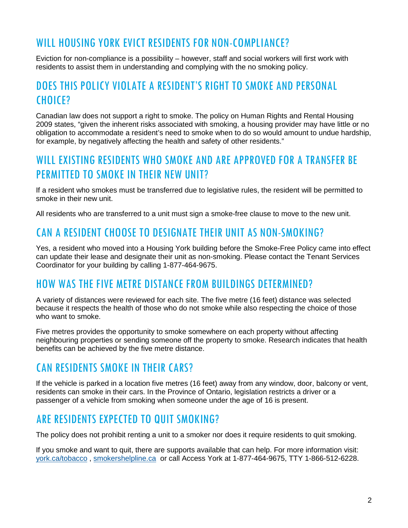### WILL HOUSING YORK EVICT RESIDENTS FOR NON-COMPLIANCE?

Eviction for non-compliance is a possibility – however, staff and social workers will first work with residents to assist them in understanding and complying with the no smoking policy.

## DOES THIS POLICY VIOLATE A RESIDENT'S RIGHT TO SMOKE AND PERSONAL CHOICE?

Canadian law does not support a right to smoke. The policy on Human Rights and Rental Housing 2009 states, "given the inherent risks associated with smoking, a housing provider may have little or no obligation to accommodate a resident's need to smoke when to do so would amount to undue hardship, for example, by negatively affecting the health and safety of other residents."

# WILL EXISTING RESIDENTS WHO SMOKE AND ARE APPROVED FOR A TRANSFER RE PERMITTED TO SMOKE IN THEIR NEW UNIT?

If a resident who smokes must be transferred due to legislative rules, the resident will be permitted to smoke in their new unit.

All residents who are transferred to a unit must sign a smoke-free clause to move to the new unit.

#### CAN A RESIDENT CHOOSE TO DESIGNATE THEIR UNIT AS NON-SMOKING?

Yes, a resident who moved into a Housing York building before the Smoke-Free Policy came into effect can update their lease and designate their unit as non-smoking. Please contact the Tenant Services Coordinator for your building by calling 1-877-464-9675.

#### HOW WAS THE FIVE METRE DISTANCE FROM BUILDINGS DETERMINED?

A variety of distances were reviewed for each site. The five metre (16 feet) distance was selected because it respects the health of those who do not smoke while also respecting the choice of those who want to smoke.

Five metres provides the opportunity to smoke somewhere on each property without affecting neighbouring properties or sending someone off the property to smoke. Research indicates that health benefits can be achieved by the five metre distance.

## CAN RESIDENTS SMOKE IN THEIR CARS?

If the vehicle is parked in a location five metres (16 feet) away from any window, door, balcony or vent, residents can smoke in their cars. In the Province of Ontario, legislation restricts a driver or a passenger of a vehicle from smoking when someone under the age of 16 is present.

#### ARE RESIDENTS EXPECTED TO QUIT SMOKING?

The policy does not prohibit renting a unit to a smoker nor does it require residents to quit smoking.

If you smoke and want to quit, there are supports available that can help. For more information visit: [york.ca/tobacco](mailto:york.ca/tobacco) , [smokershelpline.ca](mailto:smokershelpline.ca) or call Access York at 1-877-464-9675, TTY 1-866-512-6228.